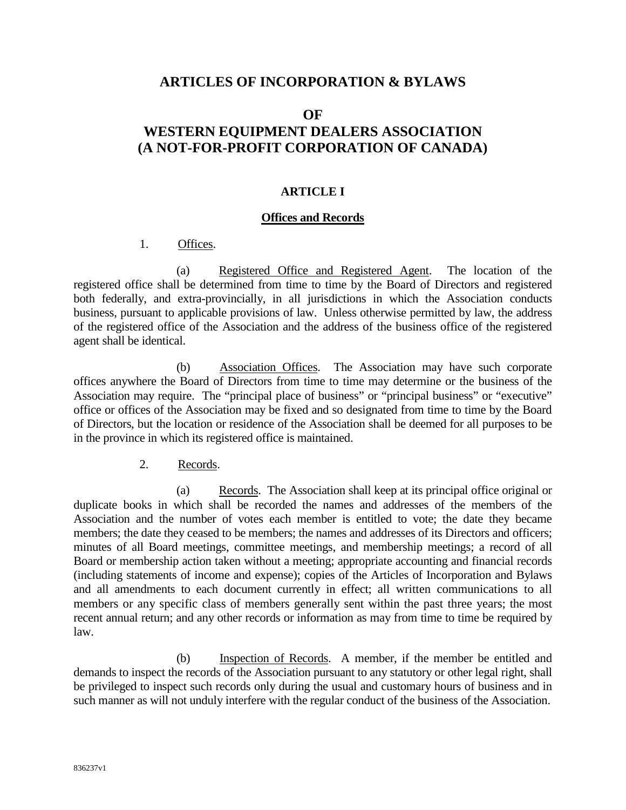# **ARTICLES OF INCORPORATION & BYLAWS**

#### **OF**

# **WESTERN EQUIPMENT DEALERS ASSOCIATION (A NOT-FOR-PROFIT CORPORATION OF CANADA)**

#### **ARTICLE I**

#### **Offices and Records**

#### 1. Offices.

 (a) Registered Office and Registered Agent. The location of the registered office shall be determined from time to time by the Board of Directors and registered both federally, and extra-provincially, in all jurisdictions in which the Association conducts business, pursuant to applicable provisions of law. Unless otherwise permitted by law, the address of the registered office of the Association and the address of the business office of the registered agent shall be identical.

 (b) Association Offices. The Association may have such corporate offices anywhere the Board of Directors from time to time may determine or the business of the Association may require. The "principal place of business" or "principal business" or "executive" office or offices of the Association may be fixed and so designated from time to time by the Board of Directors, but the location or residence of the Association shall be deemed for all purposes to be in the province in which its registered office is maintained.

### 2. Records.

 (a) Records. The Association shall keep at its principal office original or duplicate books in which shall be recorded the names and addresses of the members of the Association and the number of votes each member is entitled to vote; the date they became members; the date they ceased to be members; the names and addresses of its Directors and officers; minutes of all Board meetings, committee meetings, and membership meetings; a record of all Board or membership action taken without a meeting; appropriate accounting and financial records (including statements of income and expense); copies of the Articles of Incorporation and Bylaws and all amendments to each document currently in effect; all written communications to all members or any specific class of members generally sent within the past three years; the most recent annual return; and any other records or information as may from time to time be required by law.

 (b) Inspection of Records. A member, if the member be entitled and demands to inspect the records of the Association pursuant to any statutory or other legal right, shall be privileged to inspect such records only during the usual and customary hours of business and in such manner as will not unduly interfere with the regular conduct of the business of the Association.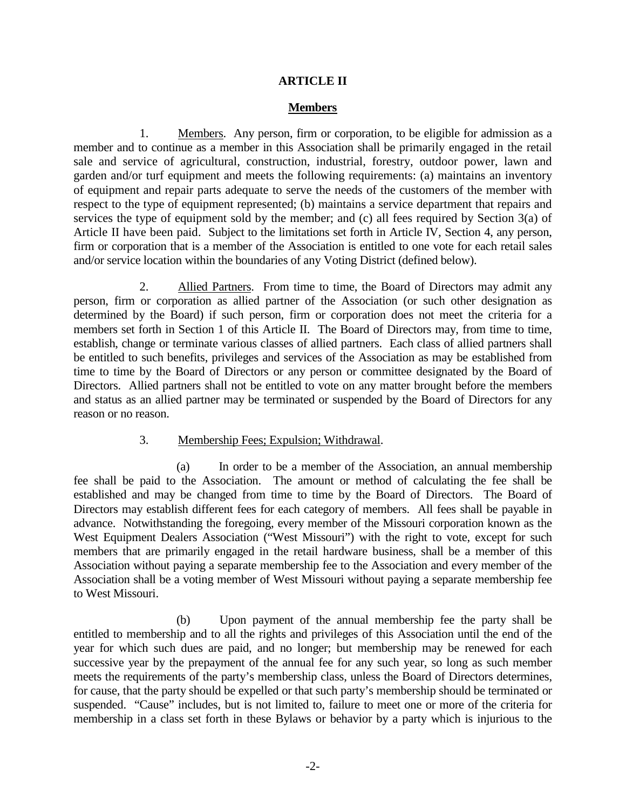### **ARTICLE II**

### **Members**

 1. Members. Any person, firm or corporation, to be eligible for admission as a member and to continue as a member in this Association shall be primarily engaged in the retail sale and service of agricultural, construction, industrial, forestry, outdoor power, lawn and garden and/or turf equipment and meets the following requirements: (a) maintains an inventory of equipment and repair parts adequate to serve the needs of the customers of the member with respect to the type of equipment represented; (b) maintains a service department that repairs and services the type of equipment sold by the member; and (c) all fees required by Section 3(a) of Article II have been paid. Subject to the limitations set forth in Article IV, Section 4, any person, firm or corporation that is a member of the Association is entitled to one vote for each retail sales and/or service location within the boundaries of any Voting District (defined below).

 2. Allied Partners. From time to time, the Board of Directors may admit any person, firm or corporation as allied partner of the Association (or such other designation as determined by the Board) if such person, firm or corporation does not meet the criteria for a members set forth in Section 1 of this Article II. The Board of Directors may, from time to time, establish, change or terminate various classes of allied partners. Each class of allied partners shall be entitled to such benefits, privileges and services of the Association as may be established from time to time by the Board of Directors or any person or committee designated by the Board of Directors. Allied partners shall not be entitled to vote on any matter brought before the members and status as an allied partner may be terminated or suspended by the Board of Directors for any reason or no reason.

#### 3. Membership Fees; Expulsion; Withdrawal.

 (a) In order to be a member of the Association, an annual membership fee shall be paid to the Association. The amount or method of calculating the fee shall be established and may be changed from time to time by the Board of Directors. The Board of Directors may establish different fees for each category of members. All fees shall be payable in advance. Notwithstanding the foregoing, every member of the Missouri corporation known as the West Equipment Dealers Association ("West Missouri") with the right to vote, except for such members that are primarily engaged in the retail hardware business, shall be a member of this Association without paying a separate membership fee to the Association and every member of the Association shall be a voting member of West Missouri without paying a separate membership fee to West Missouri.

 (b) Upon payment of the annual membership fee the party shall be entitled to membership and to all the rights and privileges of this Association until the end of the year for which such dues are paid, and no longer; but membership may be renewed for each successive year by the prepayment of the annual fee for any such year, so long as such member meets the requirements of the party's membership class, unless the Board of Directors determines, for cause, that the party should be expelled or that such party's membership should be terminated or suspended. "Cause" includes, but is not limited to, failure to meet one or more of the criteria for membership in a class set forth in these Bylaws or behavior by a party which is injurious to the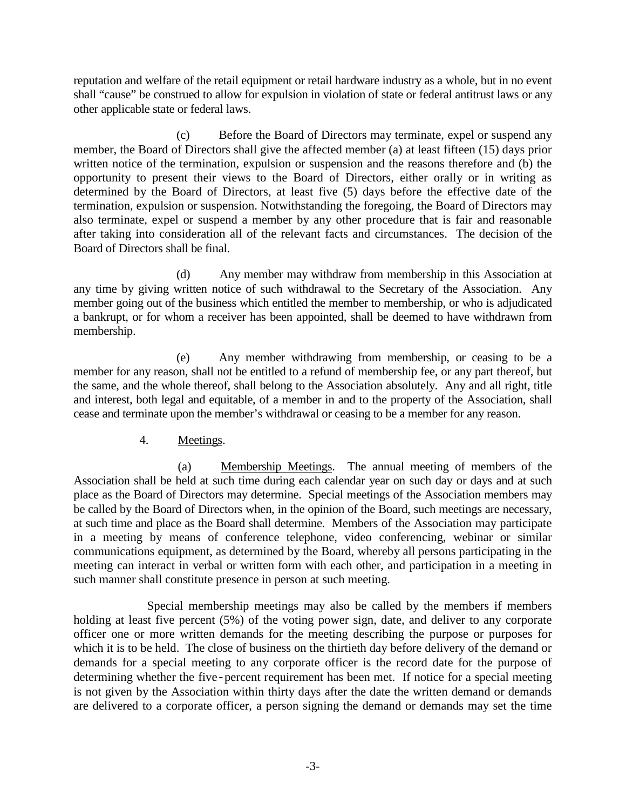reputation and welfare of the retail equipment or retail hardware industry as a whole, but in no event shall "cause" be construed to allow for expulsion in violation of state or federal antitrust laws or any other applicable state or federal laws.

 (c) Before the Board of Directors may terminate, expel or suspend any member, the Board of Directors shall give the affected member (a) at least fifteen (15) days prior written notice of the termination, expulsion or suspension and the reasons therefore and (b) the opportunity to present their views to the Board of Directors, either orally or in writing as determined by the Board of Directors, at least five (5) days before the effective date of the termination, expulsion or suspension. Notwithstanding the foregoing, the Board of Directors may also terminate, expel or suspend a member by any other procedure that is fair and reasonable after taking into consideration all of the relevant facts and circumstances. The decision of the Board of Directors shall be final.

 (d) Any member may withdraw from membership in this Association at any time by giving written notice of such withdrawal to the Secretary of the Association. Any member going out of the business which entitled the member to membership, or who is adjudicated a bankrupt, or for whom a receiver has been appointed, shall be deemed to have withdrawn from membership.

 (e) Any member withdrawing from membership, or ceasing to be a member for any reason, shall not be entitled to a refund of membership fee, or any part thereof, but the same, and the whole thereof, shall belong to the Association absolutely. Any and all right, title and interest, both legal and equitable, of a member in and to the property of the Association, shall cease and terminate upon the member's withdrawal or ceasing to be a member for any reason.

4. Meetings.

 (a) Membership Meetings. The annual meeting of members of the Association shall be held at such time during each calendar year on such day or days and at such place as the Board of Directors may determine. Special meetings of the Association members may be called by the Board of Directors when, in the opinion of the Board, such meetings are necessary, at such time and place as the Board shall determine. Members of the Association may participate in a meeting by means of conference telephone, video conferencing, webinar or similar communications equipment, as determined by the Board, whereby all persons participating in the meeting can interact in verbal or written form with each other, and participation in a meeting in such manner shall constitute presence in person at such meeting.

Special membership meetings may also be called by the members if members holding at least five percent (5%) of the voting power sign, date, and deliver to any corporate officer one or more written demands for the meeting describing the purpose or purposes for which it is to be held. The close of business on the thirtieth day before delivery of the demand or demands for a special meeting to any corporate officer is the record date for the purpose of determining whether the five-percent requirement has been met. If notice for a special meeting is not given by the Association within thirty days after the date the written demand or demands are delivered to a corporate officer, a person signing the demand or demands may set the time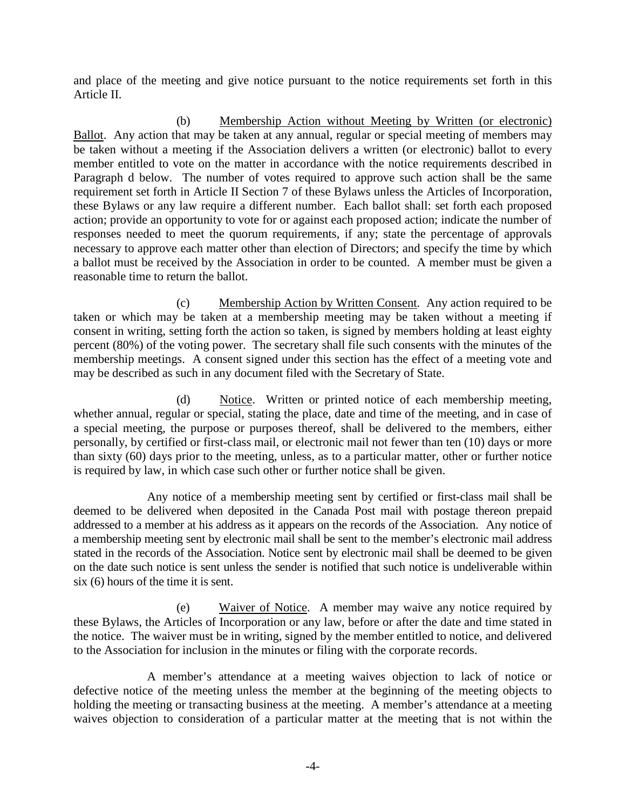and place of the meeting and give notice pursuant to the notice requirements set forth in this Article II.

 (b) Membership Action without Meeting by Written (or electronic) Ballot. Any action that may be taken at any annual, regular or special meeting of members may be taken without a meeting if the Association delivers a written (or electronic) ballot to every member entitled to vote on the matter in accordance with the notice requirements described in Paragraph d below. The number of votes required to approve such action shall be the same requirement set forth in Article II Section 7 of these Bylaws unless the Articles of Incorporation, these Bylaws or any law require a different number. Each ballot shall: set forth each proposed action; provide an opportunity to vote for or against each proposed action; indicate the number of responses needed to meet the quorum requirements, if any; state the percentage of approvals necessary to approve each matter other than election of Directors; and specify the time by which a ballot must be received by the Association in order to be counted. A member must be given a reasonable time to return the ballot.

 (c) Membership Action by Written Consent. Any action required to be taken or which may be taken at a membership meeting may be taken without a meeting if consent in writing, setting forth the action so taken, is signed by members holding at least eighty percent (80%) of the voting power. The secretary shall file such consents with the minutes of the membership meetings. A consent signed under this section has the effect of a meeting vote and may be described as such in any document filed with the Secretary of State.

 (d) Notice. Written or printed notice of each membership meeting, whether annual, regular or special, stating the place, date and time of the meeting, and in case of a special meeting, the purpose or purposes thereof, shall be delivered to the members, either personally, by certified or first-class mail, or electronic mail not fewer than ten (10) days or more than sixty (60) days prior to the meeting, unless, as to a particular matter, other or further notice is required by law, in which case such other or further notice shall be given.

Any notice of a membership meeting sent by certified or first-class mail shall be deemed to be delivered when deposited in the Canada Post mail with postage thereon prepaid addressed to a member at his address as it appears on the records of the Association. Any notice of a membership meeting sent by electronic mail shall be sent to the member's electronic mail address stated in the records of the Association. Notice sent by electronic mail shall be deemed to be given on the date such notice is sent unless the sender is notified that such notice is undeliverable within six (6) hours of the time it is sent.

 (e) Waiver of Notice. A member may waive any notice required by these Bylaws, the Articles of Incorporation or any law, before or after the date and time stated in the notice. The waiver must be in writing, signed by the member entitled to notice, and delivered to the Association for inclusion in the minutes or filing with the corporate records.

A member's attendance at a meeting waives objection to lack of notice or defective notice of the meeting unless the member at the beginning of the meeting objects to holding the meeting or transacting business at the meeting. A member's attendance at a meeting waives objection to consideration of a particular matter at the meeting that is not within the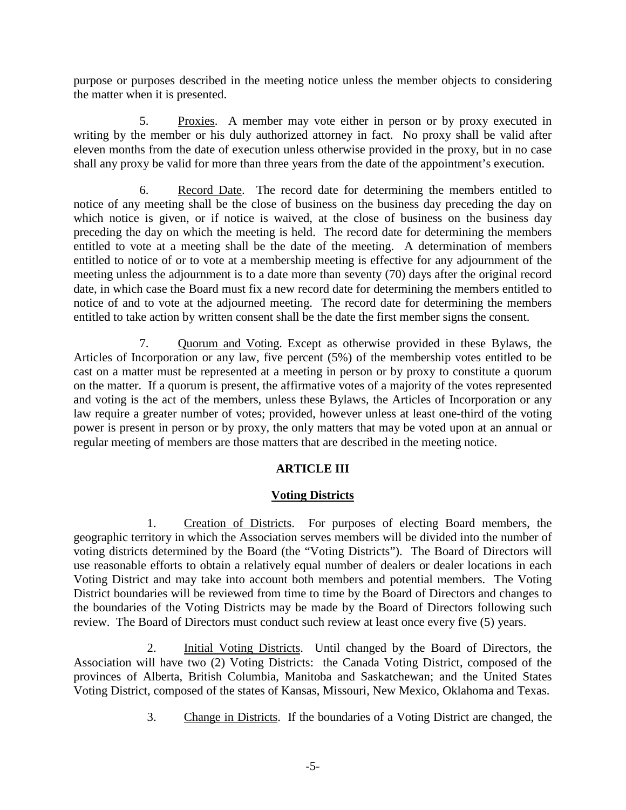purpose or purposes described in the meeting notice unless the member objects to considering the matter when it is presented.

 5. Proxies. A member may vote either in person or by proxy executed in writing by the member or his duly authorized attorney in fact. No proxy shall be valid after eleven months from the date of execution unless otherwise provided in the proxy, but in no case shall any proxy be valid for more than three years from the date of the appointment's execution.

 6. Record Date. The record date for determining the members entitled to notice of any meeting shall be the close of business on the business day preceding the day on which notice is given, or if notice is waived, at the close of business on the business day preceding the day on which the meeting is held. The record date for determining the members entitled to vote at a meeting shall be the date of the meeting. A determination of members entitled to notice of or to vote at a membership meeting is effective for any adjournment of the meeting unless the adjournment is to a date more than seventy (70) days after the original record date, in which case the Board must fix a new record date for determining the members entitled to notice of and to vote at the adjourned meeting. The record date for determining the members entitled to take action by written consent shall be the date the first member signs the consent.

 7. Quorum and Voting. Except as otherwise provided in these Bylaws, the Articles of Incorporation or any law, five percent (5%) of the membership votes entitled to be cast on a matter must be represented at a meeting in person or by proxy to constitute a quorum on the matter. If a quorum is present, the affirmative votes of a majority of the votes represented and voting is the act of the members, unless these Bylaws, the Articles of Incorporation or any law require a greater number of votes; provided, however unless at least one-third of the voting power is present in person or by proxy, the only matters that may be voted upon at an annual or regular meeting of members are those matters that are described in the meeting notice.

# **ARTICLE III**

#### **Voting Districts**

1. Creation of Districts. For purposes of electing Board members, the geographic territory in which the Association serves members will be divided into the number of voting districts determined by the Board (the "Voting Districts"). The Board of Directors will use reasonable efforts to obtain a relatively equal number of dealers or dealer locations in each Voting District and may take into account both members and potential members. The Voting District boundaries will be reviewed from time to time by the Board of Directors and changes to the boundaries of the Voting Districts may be made by the Board of Directors following such review. The Board of Directors must conduct such review at least once every five (5) years.

2. Initial Voting Districts. Until changed by the Board of Directors, the Association will have two (2) Voting Districts: the Canada Voting District, composed of the provinces of Alberta, British Columbia, Manitoba and Saskatchewan; and the United States Voting District, composed of the states of Kansas, Missouri, New Mexico, Oklahoma and Texas.

3. Change in Districts. If the boundaries of a Voting District are changed, the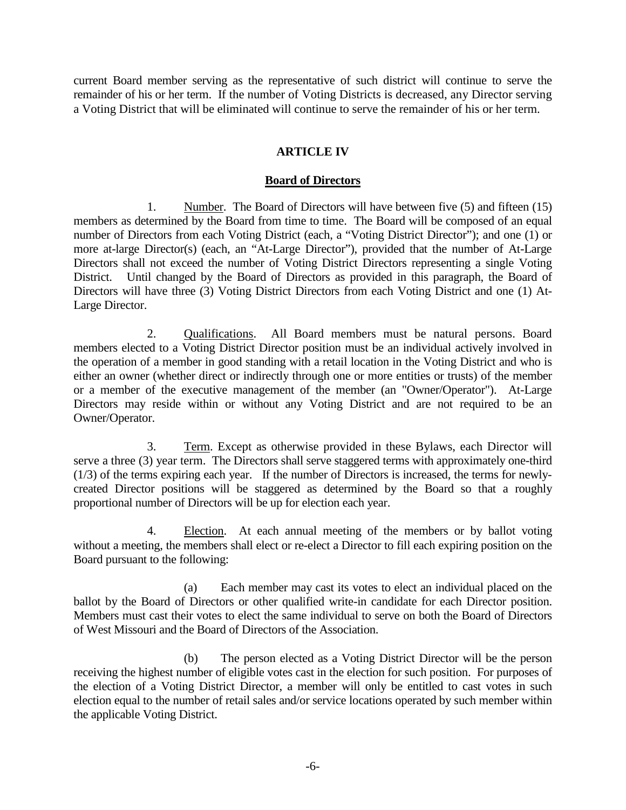current Board member serving as the representative of such district will continue to serve the remainder of his or her term. If the number of Voting Districts is decreased, any Director serving a Voting District that will be eliminated will continue to serve the remainder of his or her term.

### **ARTICLE IV**

#### **Board of Directors**

1. Number. The Board of Directors will have between five (5) and fifteen (15) members as determined by the Board from time to time. The Board will be composed of an equal number of Directors from each Voting District (each, a "Voting District Director"); and one (1) or more at-large Director(s) (each, an "At-Large Director"), provided that the number of At-Large Directors shall not exceed the number of Voting District Directors representing a single Voting District. Until changed by the Board of Directors as provided in this paragraph, the Board of Directors will have three (3) Voting District Directors from each Voting District and one (1) At-Large Director.

2. Qualifications. All Board members must be natural persons. Board members elected to a Voting District Director position must be an individual actively involved in the operation of a member in good standing with a retail location in the Voting District and who is either an owner (whether direct or indirectly through one or more entities or trusts) of the member or a member of the executive management of the member (an "Owner/Operator"). At-Large Directors may reside within or without any Voting District and are not required to be an Owner/Operator.

3. Term. Except as otherwise provided in these Bylaws, each Director will serve a three (3) year term. The Directors shall serve staggered terms with approximately one-third (1/3) of the terms expiring each year. If the number of Directors is increased, the terms for newlycreated Director positions will be staggered as determined by the Board so that a roughly proportional number of Directors will be up for election each year.

4. Election. At each annual meeting of the members or by ballot voting without a meeting, the members shall elect or re-elect a Director to fill each expiring position on the Board pursuant to the following:

(a) Each member may cast its votes to elect an individual placed on the ballot by the Board of Directors or other qualified write-in candidate for each Director position. Members must cast their votes to elect the same individual to serve on both the Board of Directors of West Missouri and the Board of Directors of the Association.

(b) The person elected as a Voting District Director will be the person receiving the highest number of eligible votes cast in the election for such position. For purposes of the election of a Voting District Director, a member will only be entitled to cast votes in such election equal to the number of retail sales and/or service locations operated by such member within the applicable Voting District.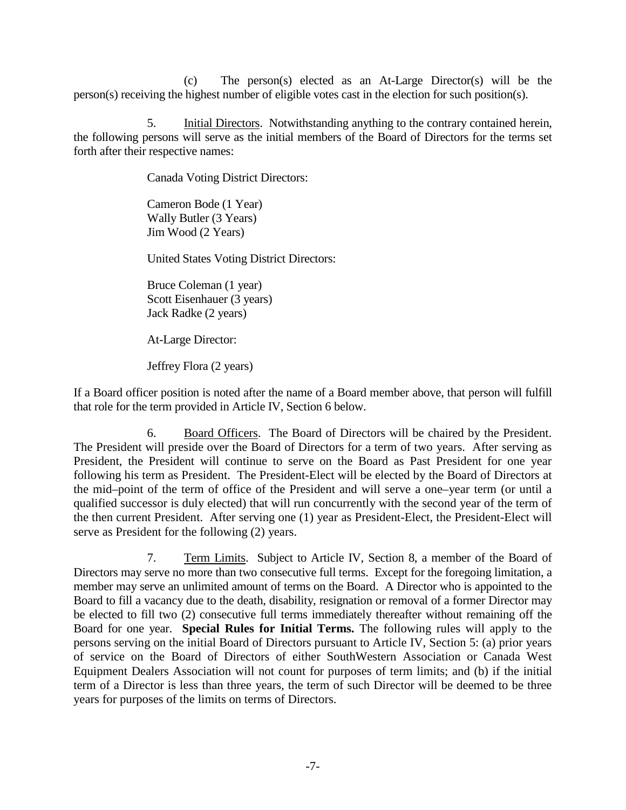(c) The person(s) elected as an At-Large Director(s) will be the person(s) receiving the highest number of eligible votes cast in the election for such position(s).

5. Initial Directors. Notwithstanding anything to the contrary contained herein, the following persons will serve as the initial members of the Board of Directors for the terms set forth after their respective names:

Canada Voting District Directors:

Cameron Bode (1 Year) Wally Butler (3 Years) Jim Wood (2 Years)

United States Voting District Directors:

Bruce Coleman (1 year) Scott Eisenhauer (3 years) Jack Radke (2 years)

At-Large Director:

Jeffrey Flora (2 years)

If a Board officer position is noted after the name of a Board member above, that person will fulfill that role for the term provided in Article IV, Section 6 below.

6. Board Officers. The Board of Directors will be chaired by the President. The President will preside over the Board of Directors for a term of two years. After serving as President, the President will continue to serve on the Board as Past President for one year following his term as President. The President-Elect will be elected by the Board of Directors at the mid–point of the term of office of the President and will serve a one–year term (or until a qualified successor is duly elected) that will run concurrently with the second year of the term of the then current President. After serving one (1) year as President-Elect, the President-Elect will serve as President for the following (2) years.

7. Term Limits. Subject to Article IV, Section 8, a member of the Board of Directors may serve no more than two consecutive full terms. Except for the foregoing limitation, a member may serve an unlimited amount of terms on the Board. A Director who is appointed to the Board to fill a vacancy due to the death, disability, resignation or removal of a former Director may be elected to fill two (2) consecutive full terms immediately thereafter without remaining off the Board for one year. **Special Rules for Initial Terms.** The following rules will apply to the persons serving on the initial Board of Directors pursuant to Article IV, Section 5: (a) prior years of service on the Board of Directors of either SouthWestern Association or Canada West Equipment Dealers Association will not count for purposes of term limits; and (b) if the initial term of a Director is less than three years, the term of such Director will be deemed to be three years for purposes of the limits on terms of Directors.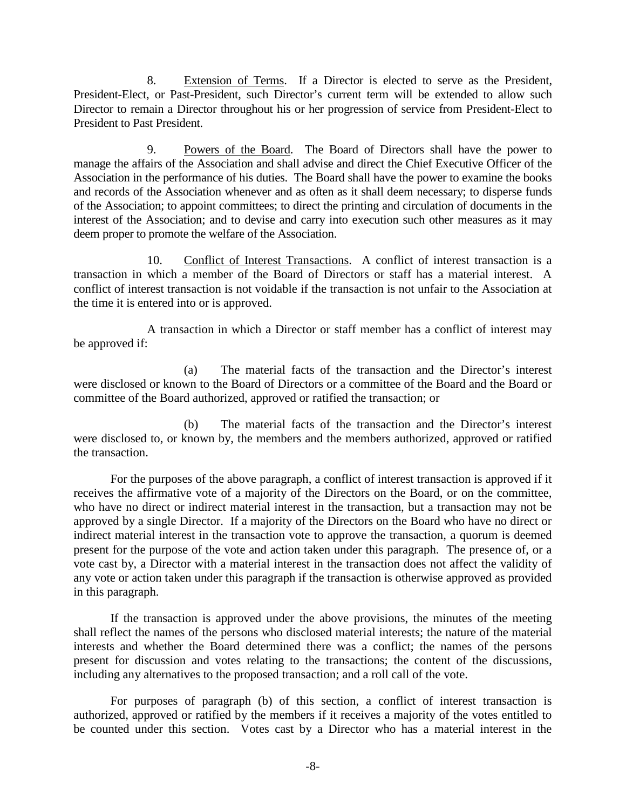8. Extension of Terms. If a Director is elected to serve as the President, President-Elect, or Past-President, such Director's current term will be extended to allow such Director to remain a Director throughout his or her progression of service from President-Elect to President to Past President.

9. Powers of the Board. The Board of Directors shall have the power to manage the affairs of the Association and shall advise and direct the Chief Executive Officer of the Association in the performance of his duties. The Board shall have the power to examine the books and records of the Association whenever and as often as it shall deem necessary; to disperse funds of the Association; to appoint committees; to direct the printing and circulation of documents in the interest of the Association; and to devise and carry into execution such other measures as it may deem proper to promote the welfare of the Association.

10. Conflict of Interest Transactions. A conflict of interest transaction is a transaction in which a member of the Board of Directors or staff has a material interest. A conflict of interest transaction is not voidable if the transaction is not unfair to the Association at the time it is entered into or is approved.

A transaction in which a Director or staff member has a conflict of interest may be approved if:

(a) The material facts of the transaction and the Director's interest were disclosed or known to the Board of Directors or a committee of the Board and the Board or committee of the Board authorized, approved or ratified the transaction; or

(b) The material facts of the transaction and the Director's interest were disclosed to, or known by, the members and the members authorized, approved or ratified the transaction.

For the purposes of the above paragraph, a conflict of interest transaction is approved if it receives the affirmative vote of a majority of the Directors on the Board, or on the committee, who have no direct or indirect material interest in the transaction, but a transaction may not be approved by a single Director. If a majority of the Directors on the Board who have no direct or indirect material interest in the transaction vote to approve the transaction, a quorum is deemed present for the purpose of the vote and action taken under this paragraph. The presence of, or a vote cast by, a Director with a material interest in the transaction does not affect the validity of any vote or action taken under this paragraph if the transaction is otherwise approved as provided in this paragraph.

If the transaction is approved under the above provisions, the minutes of the meeting shall reflect the names of the persons who disclosed material interests; the nature of the material interests and whether the Board determined there was a conflict; the names of the persons present for discussion and votes relating to the transactions; the content of the discussions, including any alternatives to the proposed transaction; and a roll call of the vote.

For purposes of paragraph (b) of this section, a conflict of interest transaction is authorized, approved or ratified by the members if it receives a majority of the votes entitled to be counted under this section. Votes cast by a Director who has a material interest in the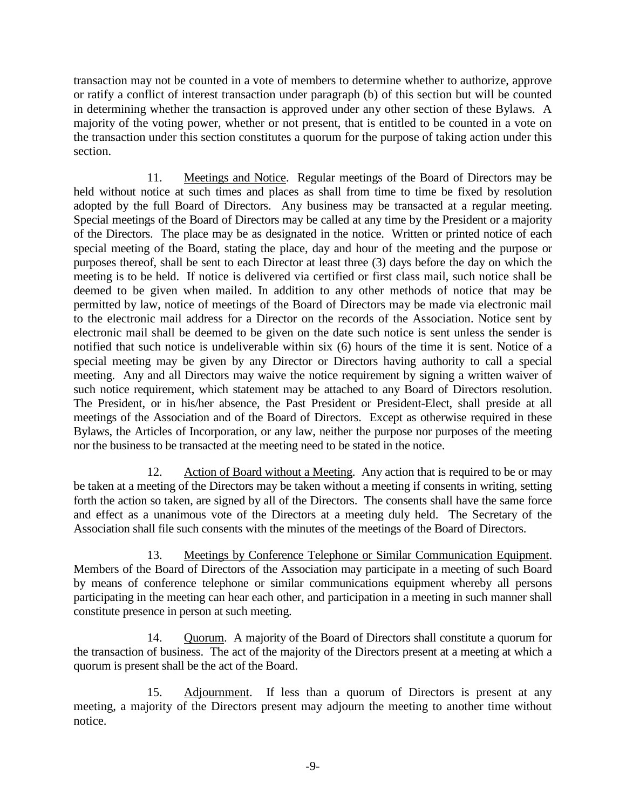transaction may not be counted in a vote of members to determine whether to authorize, approve or ratify a conflict of interest transaction under paragraph (b) of this section but will be counted in determining whether the transaction is approved under any other section of these Bylaws. A majority of the voting power, whether or not present, that is entitled to be counted in a vote on the transaction under this section constitutes a quorum for the purpose of taking action under this section.

11. Meetings and Notice. Regular meetings of the Board of Directors may be held without notice at such times and places as shall from time to time be fixed by resolution adopted by the full Board of Directors. Any business may be transacted at a regular meeting. Special meetings of the Board of Directors may be called at any time by the President or a majority of the Directors. The place may be as designated in the notice. Written or printed notice of each special meeting of the Board, stating the place, day and hour of the meeting and the purpose or purposes thereof, shall be sent to each Director at least three (3) days before the day on which the meeting is to be held. If notice is delivered via certified or first class mail, such notice shall be deemed to be given when mailed. In addition to any other methods of notice that may be permitted by law, notice of meetings of the Board of Directors may be made via electronic mail to the electronic mail address for a Director on the records of the Association. Notice sent by electronic mail shall be deemed to be given on the date such notice is sent unless the sender is notified that such notice is undeliverable within six (6) hours of the time it is sent. Notice of a special meeting may be given by any Director or Directors having authority to call a special meeting. Any and all Directors may waive the notice requirement by signing a written waiver of such notice requirement, which statement may be attached to any Board of Directors resolution. The President, or in his/her absence, the Past President or President-Elect, shall preside at all meetings of the Association and of the Board of Directors. Except as otherwise required in these Bylaws, the Articles of Incorporation, or any law, neither the purpose nor purposes of the meeting nor the business to be transacted at the meeting need to be stated in the notice.

12. Action of Board without a Meeting. Any action that is required to be or may be taken at a meeting of the Directors may be taken without a meeting if consents in writing, setting forth the action so taken, are signed by all of the Directors. The consents shall have the same force and effect as a unanimous vote of the Directors at a meeting duly held. The Secretary of the Association shall file such consents with the minutes of the meetings of the Board of Directors.

13. Meetings by Conference Telephone or Similar Communication Equipment. Members of the Board of Directors of the Association may participate in a meeting of such Board by means of conference telephone or similar communications equipment whereby all persons participating in the meeting can hear each other, and participation in a meeting in such manner shall constitute presence in person at such meeting.

14. Quorum. A majority of the Board of Directors shall constitute a quorum for the transaction of business. The act of the majority of the Directors present at a meeting at which a quorum is present shall be the act of the Board.

15. Adjournment. If less than a quorum of Directors is present at any meeting, a majority of the Directors present may adjourn the meeting to another time without notice.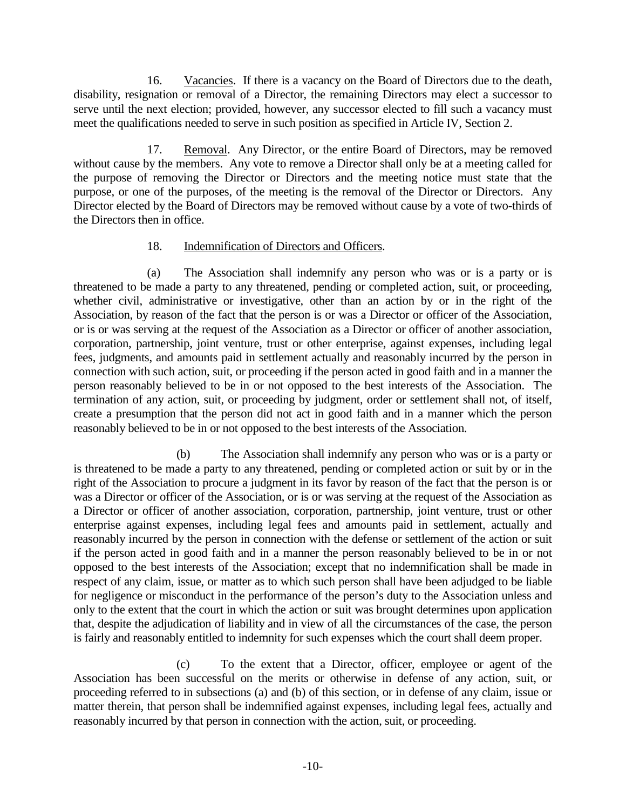16. Vacancies. If there is a vacancy on the Board of Directors due to the death, disability, resignation or removal of a Director, the remaining Directors may elect a successor to serve until the next election; provided, however, any successor elected to fill such a vacancy must meet the qualifications needed to serve in such position as specified in Article IV, Section 2.

17. Removal. Any Director, or the entire Board of Directors, may be removed without cause by the members. Any vote to remove a Director shall only be at a meeting called for the purpose of removing the Director or Directors and the meeting notice must state that the purpose, or one of the purposes, of the meeting is the removal of the Director or Directors. Any Director elected by the Board of Directors may be removed without cause by a vote of two-thirds of the Directors then in office.

# 18. Indemnification of Directors and Officers.

(a) The Association shall indemnify any person who was or is a party or is threatened to be made a party to any threatened, pending or completed action, suit, or proceeding, whether civil, administrative or investigative, other than an action by or in the right of the Association, by reason of the fact that the person is or was a Director or officer of the Association, or is or was serving at the request of the Association as a Director or officer of another association, corporation, partnership, joint venture, trust or other enterprise, against expenses, including legal fees, judgments, and amounts paid in settlement actually and reasonably incurred by the person in connection with such action, suit, or proceeding if the person acted in good faith and in a manner the person reasonably believed to be in or not opposed to the best interests of the Association. The termination of any action, suit, or proceeding by judgment, order or settlement shall not, of itself, create a presumption that the person did not act in good faith and in a manner which the person reasonably believed to be in or not opposed to the best interests of the Association.

 (b) The Association shall indemnify any person who was or is a party or is threatened to be made a party to any threatened, pending or completed action or suit by or in the right of the Association to procure a judgment in its favor by reason of the fact that the person is or was a Director or officer of the Association, or is or was serving at the request of the Association as a Director or officer of another association, corporation, partnership, joint venture, trust or other enterprise against expenses, including legal fees and amounts paid in settlement, actually and reasonably incurred by the person in connection with the defense or settlement of the action or suit if the person acted in good faith and in a manner the person reasonably believed to be in or not opposed to the best interests of the Association; except that no indemnification shall be made in respect of any claim, issue, or matter as to which such person shall have been adjudged to be liable for negligence or misconduct in the performance of the person's duty to the Association unless and only to the extent that the court in which the action or suit was brought determines upon application that, despite the adjudication of liability and in view of all the circumstances of the case, the person is fairly and reasonably entitled to indemnity for such expenses which the court shall deem proper.

 (c) To the extent that a Director, officer, employee or agent of the Association has been successful on the merits or otherwise in defense of any action, suit, or proceeding referred to in subsections (a) and (b) of this section, or in defense of any claim, issue or matter therein, that person shall be indemnified against expenses, including legal fees, actually and reasonably incurred by that person in connection with the action, suit, or proceeding.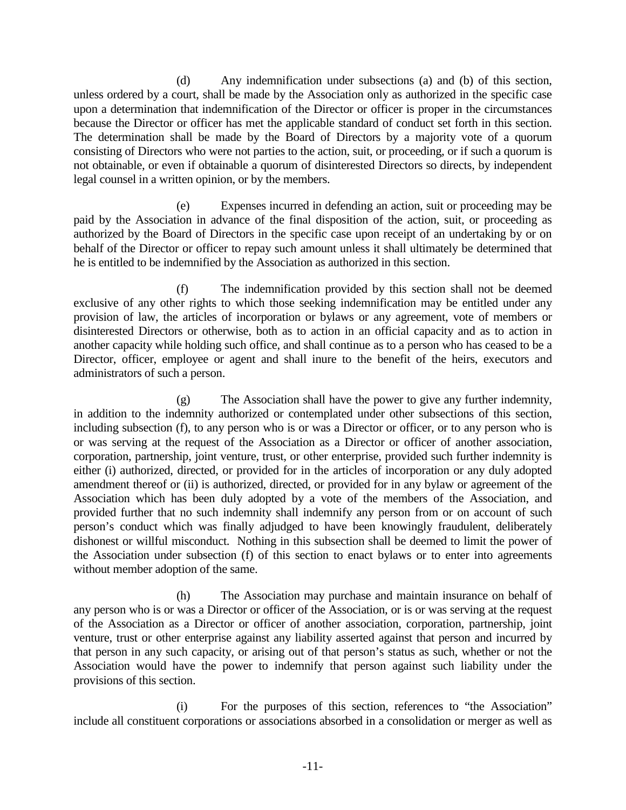(d) Any indemnification under subsections (a) and (b) of this section, unless ordered by a court, shall be made by the Association only as authorized in the specific case upon a determination that indemnification of the Director or officer is proper in the circumstances because the Director or officer has met the applicable standard of conduct set forth in this section. The determination shall be made by the Board of Directors by a majority vote of a quorum consisting of Directors who were not parties to the action, suit, or proceeding, or if such a quorum is not obtainable, or even if obtainable a quorum of disinterested Directors so directs, by independent legal counsel in a written opinion, or by the members.

 (e) Expenses incurred in defending an action, suit or proceeding may be paid by the Association in advance of the final disposition of the action, suit, or proceeding as authorized by the Board of Directors in the specific case upon receipt of an undertaking by or on behalf of the Director or officer to repay such amount unless it shall ultimately be determined that he is entitled to be indemnified by the Association as authorized in this section.

 (f) The indemnification provided by this section shall not be deemed exclusive of any other rights to which those seeking indemnification may be entitled under any provision of law, the articles of incorporation or bylaws or any agreement, vote of members or disinterested Directors or otherwise, both as to action in an official capacity and as to action in another capacity while holding such office, and shall continue as to a person who has ceased to be a Director, officer, employee or agent and shall inure to the benefit of the heirs, executors and administrators of such a person.

 (g) The Association shall have the power to give any further indemnity, in addition to the indemnity authorized or contemplated under other subsections of this section, including subsection (f), to any person who is or was a Director or officer, or to any person who is or was serving at the request of the Association as a Director or officer of another association, corporation, partnership, joint venture, trust, or other enterprise, provided such further indemnity is either (i) authorized, directed, or provided for in the articles of incorporation or any duly adopted amendment thereof or (ii) is authorized, directed, or provided for in any bylaw or agreement of the Association which has been duly adopted by a vote of the members of the Association, and provided further that no such indemnity shall indemnify any person from or on account of such person's conduct which was finally adjudged to have been knowingly fraudulent, deliberately dishonest or willful misconduct. Nothing in this subsection shall be deemed to limit the power of the Association under subsection (f) of this section to enact bylaws or to enter into agreements without member adoption of the same.

 (h) The Association may purchase and maintain insurance on behalf of any person who is or was a Director or officer of the Association, or is or was serving at the request of the Association as a Director or officer of another association, corporation, partnership, joint venture, trust or other enterprise against any liability asserted against that person and incurred by that person in any such capacity, or arising out of that person's status as such, whether or not the Association would have the power to indemnify that person against such liability under the provisions of this section.

 (i) For the purposes of this section, references to "the Association" include all constituent corporations or associations absorbed in a consolidation or merger as well as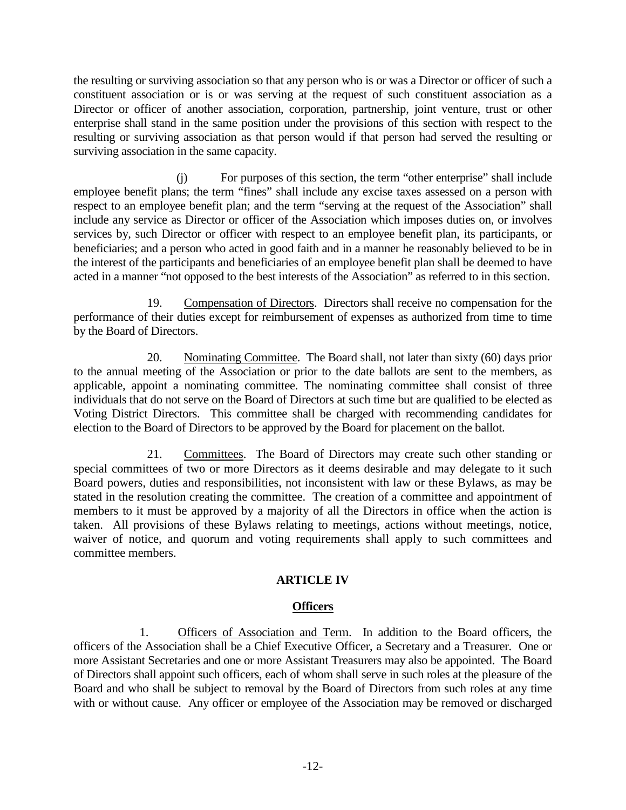the resulting or surviving association so that any person who is or was a Director or officer of such a constituent association or is or was serving at the request of such constituent association as a Director or officer of another association, corporation, partnership, joint venture, trust or other enterprise shall stand in the same position under the provisions of this section with respect to the resulting or surviving association as that person would if that person had served the resulting or surviving association in the same capacity.

 (j) For purposes of this section, the term "other enterprise" shall include employee benefit plans; the term "fines" shall include any excise taxes assessed on a person with respect to an employee benefit plan; and the term "serving at the request of the Association" shall include any service as Director or officer of the Association which imposes duties on, or involves services by, such Director or officer with respect to an employee benefit plan, its participants, or beneficiaries; and a person who acted in good faith and in a manner he reasonably believed to be in the interest of the participants and beneficiaries of an employee benefit plan shall be deemed to have acted in a manner "not opposed to the best interests of the Association" as referred to in this section.

19. Compensation of Directors. Directors shall receive no compensation for the performance of their duties except for reimbursement of expenses as authorized from time to time by the Board of Directors.

20. Nominating Committee. The Board shall, not later than sixty (60) days prior to the annual meeting of the Association or prior to the date ballots are sent to the members, as applicable, appoint a nominating committee. The nominating committee shall consist of three individuals that do not serve on the Board of Directors at such time but are qualified to be elected as Voting District Directors. This committee shall be charged with recommending candidates for election to the Board of Directors to be approved by the Board for placement on the ballot.

21. Committees. The Board of Directors may create such other standing or special committees of two or more Directors as it deems desirable and may delegate to it such Board powers, duties and responsibilities, not inconsistent with law or these Bylaws, as may be stated in the resolution creating the committee. The creation of a committee and appointment of members to it must be approved by a majority of all the Directors in office when the action is taken. All provisions of these Bylaws relating to meetings, actions without meetings, notice, waiver of notice, and quorum and voting requirements shall apply to such committees and committee members.

# **ARTICLE IV**

# **Officers**

 1. Officers of Association and Term. In addition to the Board officers, the officers of the Association shall be a Chief Executive Officer, a Secretary and a Treasurer. One or more Assistant Secretaries and one or more Assistant Treasurers may also be appointed. The Board of Directors shall appoint such officers, each of whom shall serve in such roles at the pleasure of the Board and who shall be subject to removal by the Board of Directors from such roles at any time with or without cause. Any officer or employee of the Association may be removed or discharged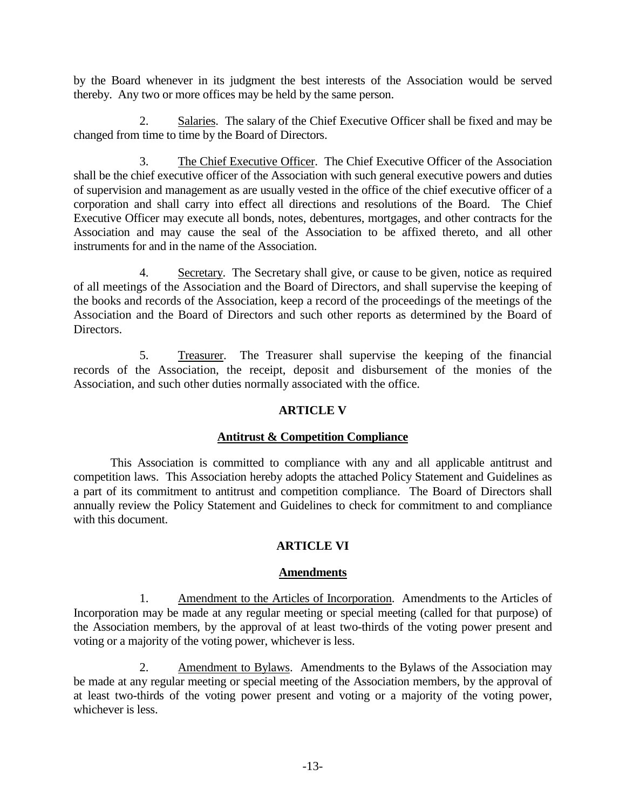by the Board whenever in its judgment the best interests of the Association would be served thereby. Any two or more offices may be held by the same person.

 2. Salaries. The salary of the Chief Executive Officer shall be fixed and may be changed from time to time by the Board of Directors.

 3. The Chief Executive Officer. The Chief Executive Officer of the Association shall be the chief executive officer of the Association with such general executive powers and duties of supervision and management as are usually vested in the office of the chief executive officer of a corporation and shall carry into effect all directions and resolutions of the Board. The Chief Executive Officer may execute all bonds, notes, debentures, mortgages, and other contracts for the Association and may cause the seal of the Association to be affixed thereto, and all other instruments for and in the name of the Association.

 4. Secretary. The Secretary shall give, or cause to be given, notice as required of all meetings of the Association and the Board of Directors, and shall supervise the keeping of the books and records of the Association, keep a record of the proceedings of the meetings of the Association and the Board of Directors and such other reports as determined by the Board of Directors.

 5. Treasurer. The Treasurer shall supervise the keeping of the financial records of the Association, the receipt, deposit and disbursement of the monies of the Association, and such other duties normally associated with the office.

# **ARTICLE V**

#### **Antitrust & Competition Compliance**

This Association is committed to compliance with any and all applicable antitrust and competition laws. This Association hereby adopts the attached Policy Statement and Guidelines as a part of its commitment to antitrust and competition compliance. The Board of Directors shall annually review the Policy Statement and Guidelines to check for commitment to and compliance with this document.

# **ARTICLE VI**

#### **Amendments**

 1. Amendment to the Articles of Incorporation. Amendments to the Articles of Incorporation may be made at any regular meeting or special meeting (called for that purpose) of the Association members, by the approval of at least two-thirds of the voting power present and voting or a majority of the voting power, whichever is less.

 2. Amendment to Bylaws. Amendments to the Bylaws of the Association may be made at any regular meeting or special meeting of the Association members, by the approval of at least two-thirds of the voting power present and voting or a majority of the voting power, whichever is less.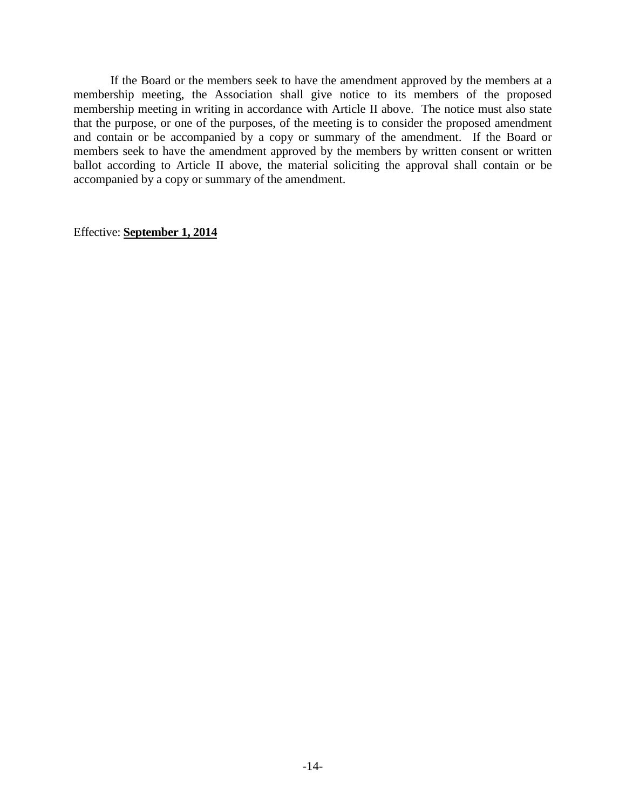If the Board or the members seek to have the amendment approved by the members at a membership meeting, the Association shall give notice to its members of the proposed membership meeting in writing in accordance with Article II above. The notice must also state that the purpose, or one of the purposes, of the meeting is to consider the proposed amendment and contain or be accompanied by a copy or summary of the amendment. If the Board or members seek to have the amendment approved by the members by written consent or written ballot according to Article II above, the material soliciting the approval shall contain or be accompanied by a copy or summary of the amendment.

Effective: **September 1, 2014**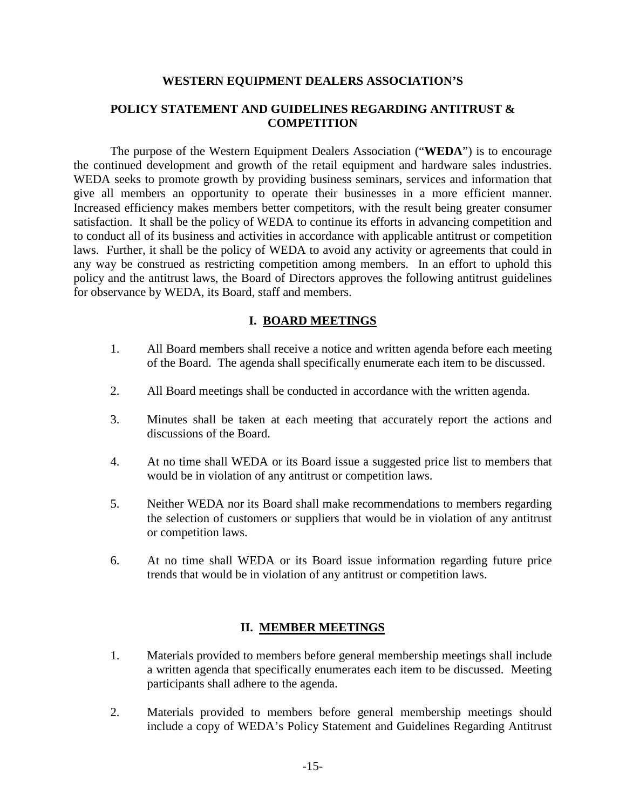#### **WESTERN EQUIPMENT DEALERS ASSOCIATION'S**

### **POLICY STATEMENT AND GUIDELINES REGARDING ANTITRUST & COMPETITION**

The purpose of the Western Equipment Dealers Association ("**WEDA**") is to encourage the continued development and growth of the retail equipment and hardware sales industries. WEDA seeks to promote growth by providing business seminars, services and information that give all members an opportunity to operate their businesses in a more efficient manner. Increased efficiency makes members better competitors, with the result being greater consumer satisfaction. It shall be the policy of WEDA to continue its efforts in advancing competition and to conduct all of its business and activities in accordance with applicable antitrust or competition laws. Further, it shall be the policy of WEDA to avoid any activity or agreements that could in any way be construed as restricting competition among members. In an effort to uphold this policy and the antitrust laws, the Board of Directors approves the following antitrust guidelines for observance by WEDA, its Board, staff and members.

### **I. BOARD MEETINGS**

- 1. All Board members shall receive a notice and written agenda before each meeting of the Board. The agenda shall specifically enumerate each item to be discussed.
- 2. All Board meetings shall be conducted in accordance with the written agenda.
- 3. Minutes shall be taken at each meeting that accurately report the actions and discussions of the Board.
- 4. At no time shall WEDA or its Board issue a suggested price list to members that would be in violation of any antitrust or competition laws.
- 5. Neither WEDA nor its Board shall make recommendations to members regarding the selection of customers or suppliers that would be in violation of any antitrust or competition laws.
- 6. At no time shall WEDA or its Board issue information regarding future price trends that would be in violation of any antitrust or competition laws.

# **II. MEMBER MEETINGS**

- 1. Materials provided to members before general membership meetings shall include a written agenda that specifically enumerates each item to be discussed. Meeting participants shall adhere to the agenda.
- 2. Materials provided to members before general membership meetings should include a copy of WEDA's Policy Statement and Guidelines Regarding Antitrust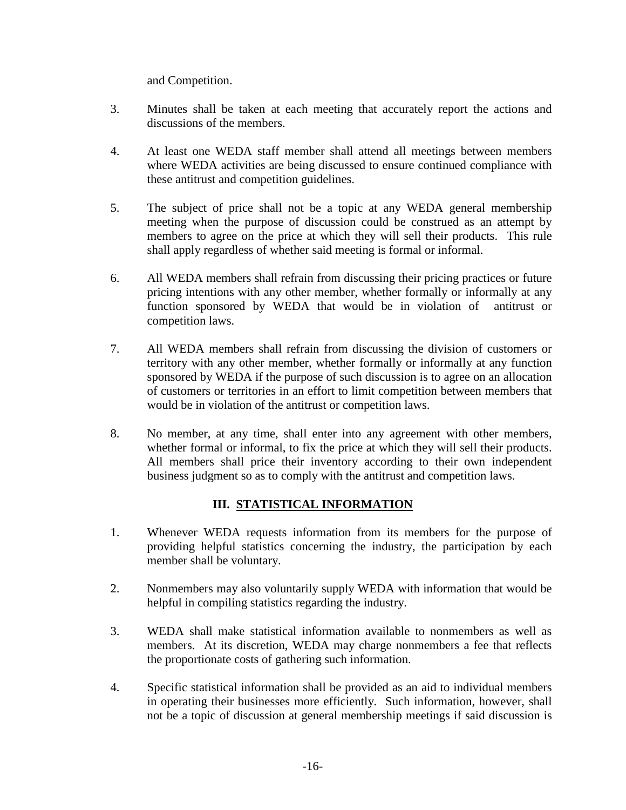and Competition.

- 3. Minutes shall be taken at each meeting that accurately report the actions and discussions of the members.
- 4. At least one WEDA staff member shall attend all meetings between members where WEDA activities are being discussed to ensure continued compliance with these antitrust and competition guidelines.
- 5. The subject of price shall not be a topic at any WEDA general membership meeting when the purpose of discussion could be construed as an attempt by members to agree on the price at which they will sell their products. This rule shall apply regardless of whether said meeting is formal or informal.
- 6. All WEDA members shall refrain from discussing their pricing practices or future pricing intentions with any other member, whether formally or informally at any function sponsored by WEDA that would be in violation of antitrust or competition laws.
- 7. All WEDA members shall refrain from discussing the division of customers or territory with any other member, whether formally or informally at any function sponsored by WEDA if the purpose of such discussion is to agree on an allocation of customers or territories in an effort to limit competition between members that would be in violation of the antitrust or competition laws.
- 8. No member, at any time, shall enter into any agreement with other members, whether formal or informal, to fix the price at which they will sell their products. All members shall price their inventory according to their own independent business judgment so as to comply with the antitrust and competition laws.

# **III. STATISTICAL INFORMATION**

- 1. Whenever WEDA requests information from its members for the purpose of providing helpful statistics concerning the industry, the participation by each member shall be voluntary.
- 2. Nonmembers may also voluntarily supply WEDA with information that would be helpful in compiling statistics regarding the industry.
- 3. WEDA shall make statistical information available to nonmembers as well as members. At its discretion, WEDA may charge nonmembers a fee that reflects the proportionate costs of gathering such information.
- 4. Specific statistical information shall be provided as an aid to individual members in operating their businesses more efficiently. Such information, however, shall not be a topic of discussion at general membership meetings if said discussion is